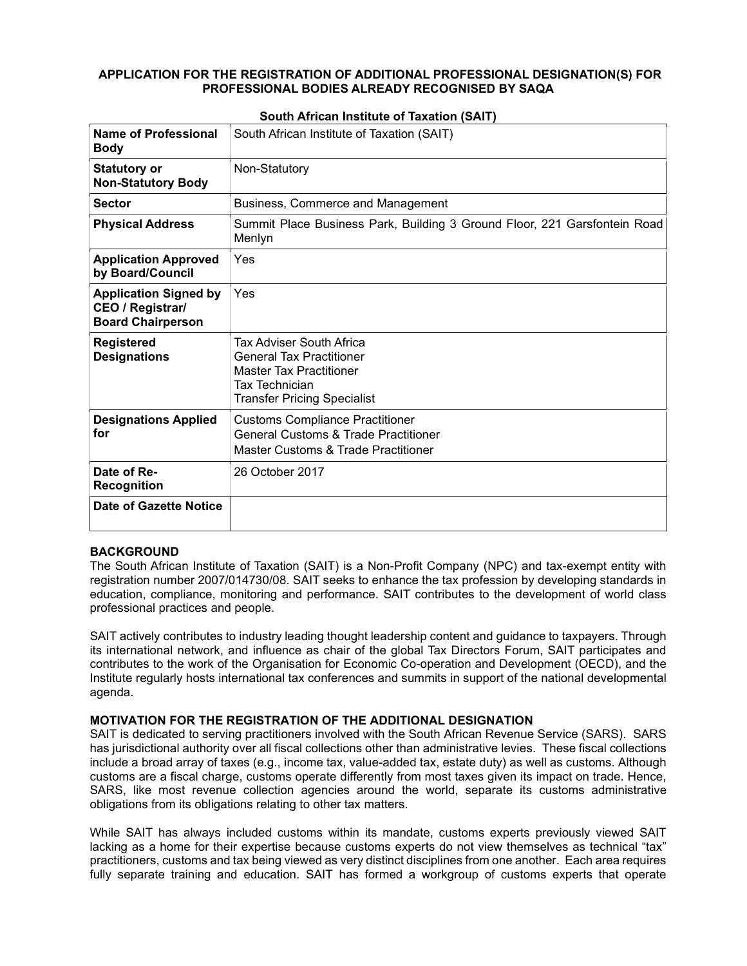## APPLICATION FOR THE REGISTRATION OF ADDITIONAL PROFESSIONAL DESIGNATION(S) FOR PROFESSIONAL BODIES ALREADY RECOGNISED BY SAQA

| Name of Professional<br><b>Body</b>                                          | South African Institute of Taxation (SAIT)                                                                                                                   |
|------------------------------------------------------------------------------|--------------------------------------------------------------------------------------------------------------------------------------------------------------|
| <b>Statutory or</b><br><b>Non-Statutory Body</b>                             | Non-Statutory                                                                                                                                                |
| <b>Sector</b>                                                                | Business, Commerce and Management                                                                                                                            |
| <b>Physical Address</b>                                                      | Summit Place Business Park, Building 3 Ground Floor, 221 Garsfontein Road<br>Menlyn                                                                          |
| <b>Application Approved</b><br>by Board/Council                              | Yes                                                                                                                                                          |
| <b>Application Signed by</b><br>CEO / Registrar/<br><b>Board Chairperson</b> | Yes                                                                                                                                                          |
| <b>Registered</b><br><b>Designations</b>                                     | Tax Adviser South Africa<br><b>General Tax Practitioner</b><br><b>Master Tax Practitioner</b><br><b>Tax Technician</b><br><b>Transfer Pricing Specialist</b> |
| <b>Designations Applied</b><br>for                                           | <b>Customs Compliance Practitioner</b><br><b>General Customs &amp; Trade Practitioner</b><br>Master Customs & Trade Practitioner                             |
| Date of Re-<br><b>Recognition</b>                                            | 26 October 2017                                                                                                                                              |
| Date of Gazette Notice                                                       |                                                                                                                                                              |

# South African Institute of Taxation (SAIT)

### BACKGROUND

The South African Institute of Taxation (SAIT) is a Non-Profit Company (NPC) and tax-exempt entity with registration number 2007/014730/08. SAIT seeks to enhance the tax profession by developing standards in education, compliance, monitoring and performance. SAIT contributes to the development of world class professional practices and people.

SAIT actively contributes to industry leading thought leadership content and guidance to taxpayers. Through its international network, and influence as chair of the global Tax Directors Forum, SAIT participates and contributes to the work of the Organisation for Economic Co-operation and Development (OECD), and the Institute regularly hosts international tax conferences and summits in support of the national developmental agenda.

## MOTIVATION FOR THE REGISTRATION OF THE ADDITIONAL DESIGNATION

SAIT is dedicated to serving practitioners involved with the South African Revenue Service (SARS). SARS has jurisdictional authority over all fiscal collections other than administrative levies. These fiscal collections include a broad array of taxes (e.g., income tax, value-added tax, estate duty) as well as customs. Although customs are a fiscal charge, customs operate differently from most taxes given its impact on trade. Hence, SARS, like most revenue collection agencies around the world, separate its customs administrative obligations from its obligations relating to other tax matters.

While SAIT has always included customs within its mandate, customs experts previously viewed SAIT lacking as a home for their expertise because customs experts do not view themselves as technical "tax" practitioners, customs and tax being viewed as very distinct disciplines from one another. Each area requires fully separate training and education. SAIT has formed a workgroup of customs experts that operate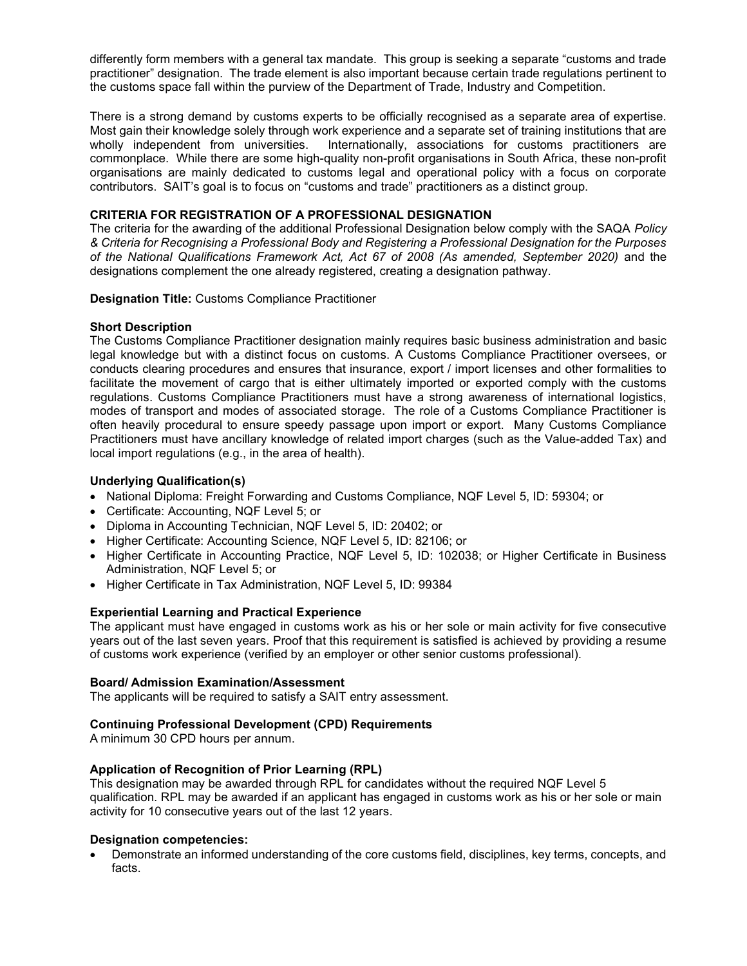differently form members with a general tax mandate. This group is seeking a separate "customs and trade practitioner" designation. The trade element is also important because certain trade regulations pertinent to the customs space fall within the purview of the Department of Trade, Industry and Competition.

There is a strong demand by customs experts to be officially recognised as a separate area of expertise. Most gain their knowledge solely through work experience and a separate set of training institutions that are wholly independent from universities. Internationally, associations for customs practitioners are commonplace. While there are some high-quality non-profit organisations in South Africa, these non-profit organisations are mainly dedicated to customs legal and operational policy with a focus on corporate contributors. SAIT's goal is to focus on "customs and trade" practitioners as a distinct group.

## CRITERIA FOR REGISTRATION OF A PROFESSIONAL DESIGNATION

The criteria for the awarding of the additional Professional Designation below comply with the SAQA Policy & Criteria for Recognising a Professional Body and Registering a Professional Designation for the Purposes of the National Qualifications Framework Act, Act 67 of 2008 (As amended, September 2020) and the designations complement the one already registered, creating a designation pathway.

Designation Title: Customs Compliance Practitioner

### Short Description

The Customs Compliance Practitioner designation mainly requires basic business administration and basic legal knowledge but with a distinct focus on customs. A Customs Compliance Practitioner oversees, or conducts clearing procedures and ensures that insurance, export / import licenses and other formalities to facilitate the movement of cargo that is either ultimately imported or exported comply with the customs regulations. Customs Compliance Practitioners must have a strong awareness of international logistics, modes of transport and modes of associated storage. The role of a Customs Compliance Practitioner is often heavily procedural to ensure speedy passage upon import or export. Many Customs Compliance Practitioners must have ancillary knowledge of related import charges (such as the Value-added Tax) and local import regulations (e.g., in the area of health).

# Underlying Qualification(s)

- National Diploma: Freight Forwarding and Customs Compliance, NQF Level 5, ID: 59304; or
- Certificate: Accounting, NQF Level 5; or
- Diploma in Accounting Technician, NQF Level 5, ID: 20402; or
- Higher Certificate: Accounting Science, NQF Level 5, ID: 82106; or
- Higher Certificate in Accounting Practice, NQF Level 5, ID: 102038; or Higher Certificate in Business Administration, NQF Level 5; or
- Higher Certificate in Tax Administration, NQF Level 5, ID: 99384

### Experiential Learning and Practical Experience

The applicant must have engaged in customs work as his or her sole or main activity for five consecutive years out of the last seven years. Proof that this requirement is satisfied is achieved by providing a resume of customs work experience (verified by an employer or other senior customs professional).

### Board/ Admission Examination/Assessment

The applicants will be required to satisfy a SAIT entry assessment.

### Continuing Professional Development (CPD) Requirements

A minimum 30 CPD hours per annum.

### Application of Recognition of Prior Learning (RPL)

This designation may be awarded through RPL for candidates without the required NQF Level 5 qualification. RPL may be awarded if an applicant has engaged in customs work as his or her sole or main activity for 10 consecutive years out of the last 12 years.

### Designation competencies:

 Demonstrate an informed understanding of the core customs field, disciplines, key terms, concepts, and facts.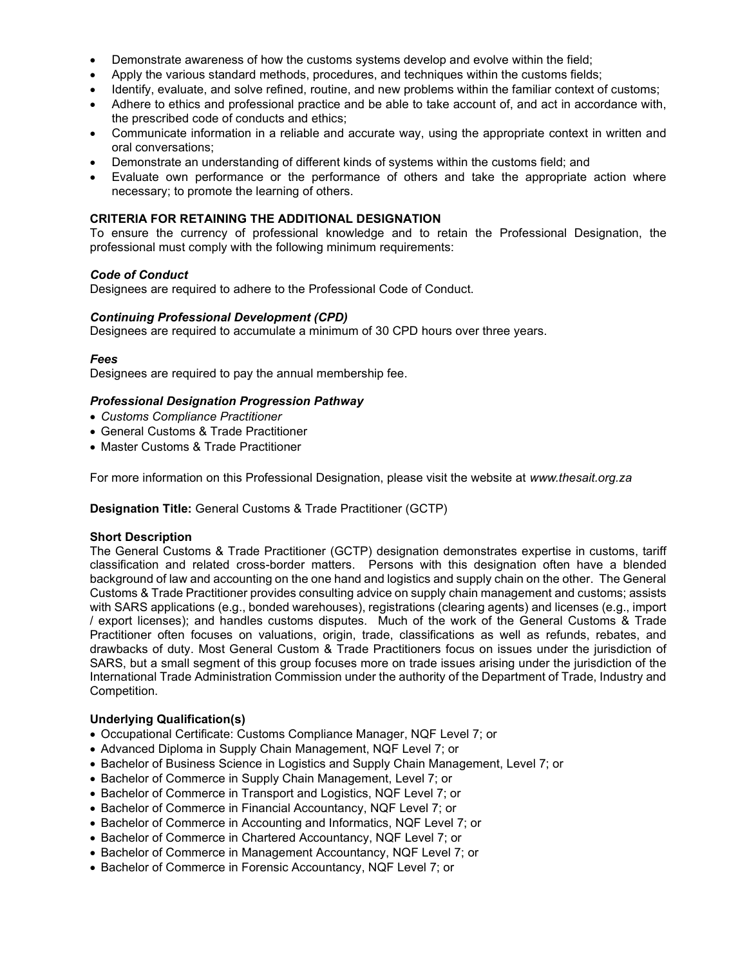- Demonstrate awareness of how the customs systems develop and evolve within the field;
- Apply the various standard methods, procedures, and techniques within the customs fields;
- Identify, evaluate, and solve refined, routine, and new problems within the familiar context of customs;
- Adhere to ethics and professional practice and be able to take account of, and act in accordance with, the prescribed code of conducts and ethics;
- Communicate information in a reliable and accurate way, using the appropriate context in written and oral conversations;
- Demonstrate an understanding of different kinds of systems within the customs field; and
- Evaluate own performance or the performance of others and take the appropriate action where necessary; to promote the learning of others.

## CRITERIA FOR RETAINING THE ADDITIONAL DESIGNATION

To ensure the currency of professional knowledge and to retain the Professional Designation, the professional must comply with the following minimum requirements:

## Code of Conduct

Designees are required to adhere to the Professional Code of Conduct.

## Continuing Professional Development (CPD)

Designees are required to accumulate a minimum of 30 CPD hours over three years.

### Fees

Designees are required to pay the annual membership fee.

### Professional Designation Progression Pathway

- Customs Compliance Practitioner
- General Customs & Trade Practitioner
- Master Customs & Trade Practitioner

For more information on this Professional Designation, please visit the website at www.thesait.org.za

### Designation Title: General Customs & Trade Practitioner (GCTP)

### Short Description

The General Customs & Trade Practitioner (GCTP) designation demonstrates expertise in customs, tariff classification and related cross-border matters. Persons with this designation often have a blended background of law and accounting on the one hand and logistics and supply chain on the other. The General Customs & Trade Practitioner provides consulting advice on supply chain management and customs; assists with SARS applications (e.g., bonded warehouses), registrations (clearing agents) and licenses (e.g., import / export licenses); and handles customs disputes. Much of the work of the General Customs & Trade Practitioner often focuses on valuations, origin, trade, classifications as well as refunds, rebates, and drawbacks of duty. Most General Custom & Trade Practitioners focus on issues under the jurisdiction of SARS, but a small segment of this group focuses more on trade issues arising under the jurisdiction of the International Trade Administration Commission under the authority of the Department of Trade, Industry and Competition.

### Underlying Qualification(s)

- Occupational Certificate: Customs Compliance Manager, NQF Level 7; or
- Advanced Diploma in Supply Chain Management, NQF Level 7; or
- Bachelor of Business Science in Logistics and Supply Chain Management, Level 7; or
- Bachelor of Commerce in Supply Chain Management, Level 7; or
- Bachelor of Commerce in Transport and Logistics, NQF Level 7; or
- Bachelor of Commerce in Financial Accountancy, NQF Level 7; or
- Bachelor of Commerce in Accounting and Informatics, NQF Level 7; or
- Bachelor of Commerce in Chartered Accountancy, NQF Level 7; or
- Bachelor of Commerce in Management Accountancy, NQF Level 7; or
- Bachelor of Commerce in Forensic Accountancy, NQF Level 7; or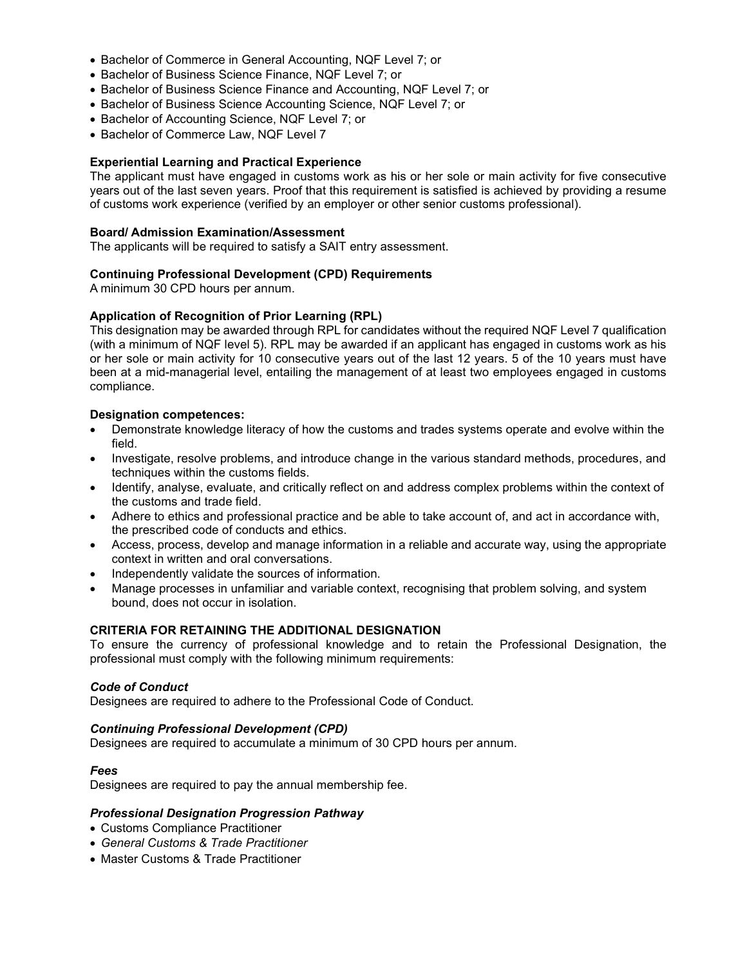- Bachelor of Commerce in General Accounting, NQF Level 7; or
- Bachelor of Business Science Finance, NQF Level 7; or
- **Bachelor of Business Science Finance and Accounting, NQF Level 7; or**
- Bachelor of Business Science Accounting Science, NQF Level 7; or
- Bachelor of Accounting Science, NQF Level 7; or
- Bachelor of Commerce Law, NQF Level 7

## Experiential Learning and Practical Experience

The applicant must have engaged in customs work as his or her sole or main activity for five consecutive years out of the last seven years. Proof that this requirement is satisfied is achieved by providing a resume of customs work experience (verified by an employer or other senior customs professional).

#### Board/ Admission Examination/Assessment

The applicants will be required to satisfy a SAIT entry assessment.

### Continuing Professional Development (CPD) Requirements

A minimum 30 CPD hours per annum.

### Application of Recognition of Prior Learning (RPL)

This designation may be awarded through RPL for candidates without the required NQF Level 7 qualification (with a minimum of NQF level 5). RPL may be awarded if an applicant has engaged in customs work as his or her sole or main activity for 10 consecutive years out of the last 12 years. 5 of the 10 years must have been at a mid-managerial level, entailing the management of at least two employees engaged in customs compliance.

### Designation competences:

- Demonstrate knowledge literacy of how the customs and trades systems operate and evolve within the field.
- Investigate, resolve problems, and introduce change in the various standard methods, procedures, and techniques within the customs fields.
- Identify, analyse, evaluate, and critically reflect on and address complex problems within the context of the customs and trade field.
- Adhere to ethics and professional practice and be able to take account of, and act in accordance with, the prescribed code of conducts and ethics.
- Access, process, develop and manage information in a reliable and accurate way, using the appropriate context in written and oral conversations.
- Independently validate the sources of information.
- Manage processes in unfamiliar and variable context, recognising that problem solving, and system bound, does not occur in isolation.

## CRITERIA FOR RETAINING THE ADDITIONAL DESIGNATION

To ensure the currency of professional knowledge and to retain the Professional Designation, the professional must comply with the following minimum requirements:

### Code of Conduct

Designees are required to adhere to the Professional Code of Conduct.

### Continuing Professional Development (CPD)

Designees are required to accumulate a minimum of 30 CPD hours per annum.

### Fees

Designees are required to pay the annual membership fee.

### Professional Designation Progression Pathway

- Customs Compliance Practitioner
- General Customs & Trade Practitioner
- Master Customs & Trade Practitioner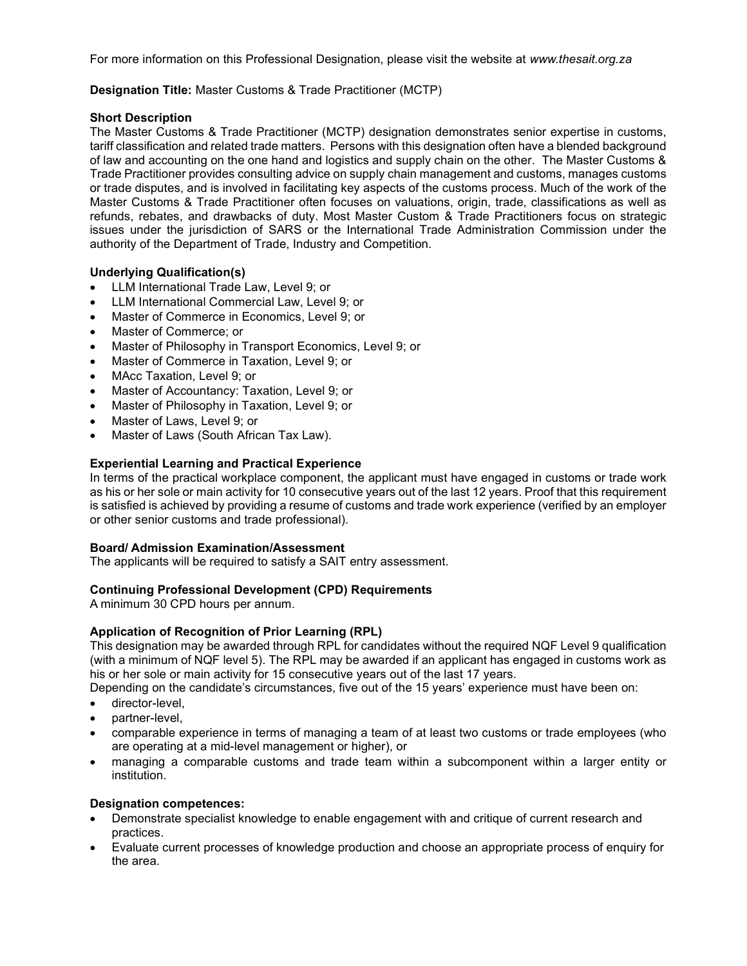For more information on this Professional Designation, please visit the website at www.thesait.org.za

## Designation Title: Master Customs & Trade Practitioner (MCTP)

## Short Description

The Master Customs & Trade Practitioner (MCTP) designation demonstrates senior expertise in customs, tariff classification and related trade matters. Persons with this designation often have a blended background of law and accounting on the one hand and logistics and supply chain on the other. The Master Customs & Trade Practitioner provides consulting advice on supply chain management and customs, manages customs or trade disputes, and is involved in facilitating key aspects of the customs process. Much of the work of the Master Customs & Trade Practitioner often focuses on valuations, origin, trade, classifications as well as refunds, rebates, and drawbacks of duty. Most Master Custom & Trade Practitioners focus on strategic issues under the jurisdiction of SARS or the International Trade Administration Commission under the authority of the Department of Trade, Industry and Competition.

# Underlying Qualification(s)

- LLM International Trade Law, Level 9; or
- LLM International Commercial Law, Level 9; or
- Master of Commerce in Economics, Level 9; or
- Master of Commerce; or
- Master of Philosophy in Transport Economics, Level 9; or
- Master of Commerce in Taxation, Level 9; or
- MAcc Taxation, Level 9; or
- Master of Accountancy: Taxation, Level 9; or
- Master of Philosophy in Taxation, Level 9; or
- Master of Laws, Level 9; or
- Master of Laws (South African Tax Law).

## Experiential Learning and Practical Experience

In terms of the practical workplace component, the applicant must have engaged in customs or trade work as his or her sole or main activity for 10 consecutive years out of the last 12 years. Proof that this requirement is satisfied is achieved by providing a resume of customs and trade work experience (verified by an employer or other senior customs and trade professional).

### Board/ Admission Examination/Assessment

The applicants will be required to satisfy a SAIT entry assessment.

### Continuing Professional Development (CPD) Requirements

A minimum 30 CPD hours per annum.

# Application of Recognition of Prior Learning (RPL)

This designation may be awarded through RPL for candidates without the required NQF Level 9 qualification (with a minimum of NQF level 5). The RPL may be awarded if an applicant has engaged in customs work as his or her sole or main activity for 15 consecutive years out of the last 17 years.

Depending on the candidate's circumstances, five out of the 15 years' experience must have been on:

- director-level.
- partner-level,
- comparable experience in terms of managing a team of at least two customs or trade employees (who are operating at a mid-level management or higher), or
- managing a comparable customs and trade team within a subcomponent within a larger entity or institution.

### Designation competences:

- Demonstrate specialist knowledge to enable engagement with and critique of current research and practices.
- Evaluate current processes of knowledge production and choose an appropriate process of enquiry for the area.